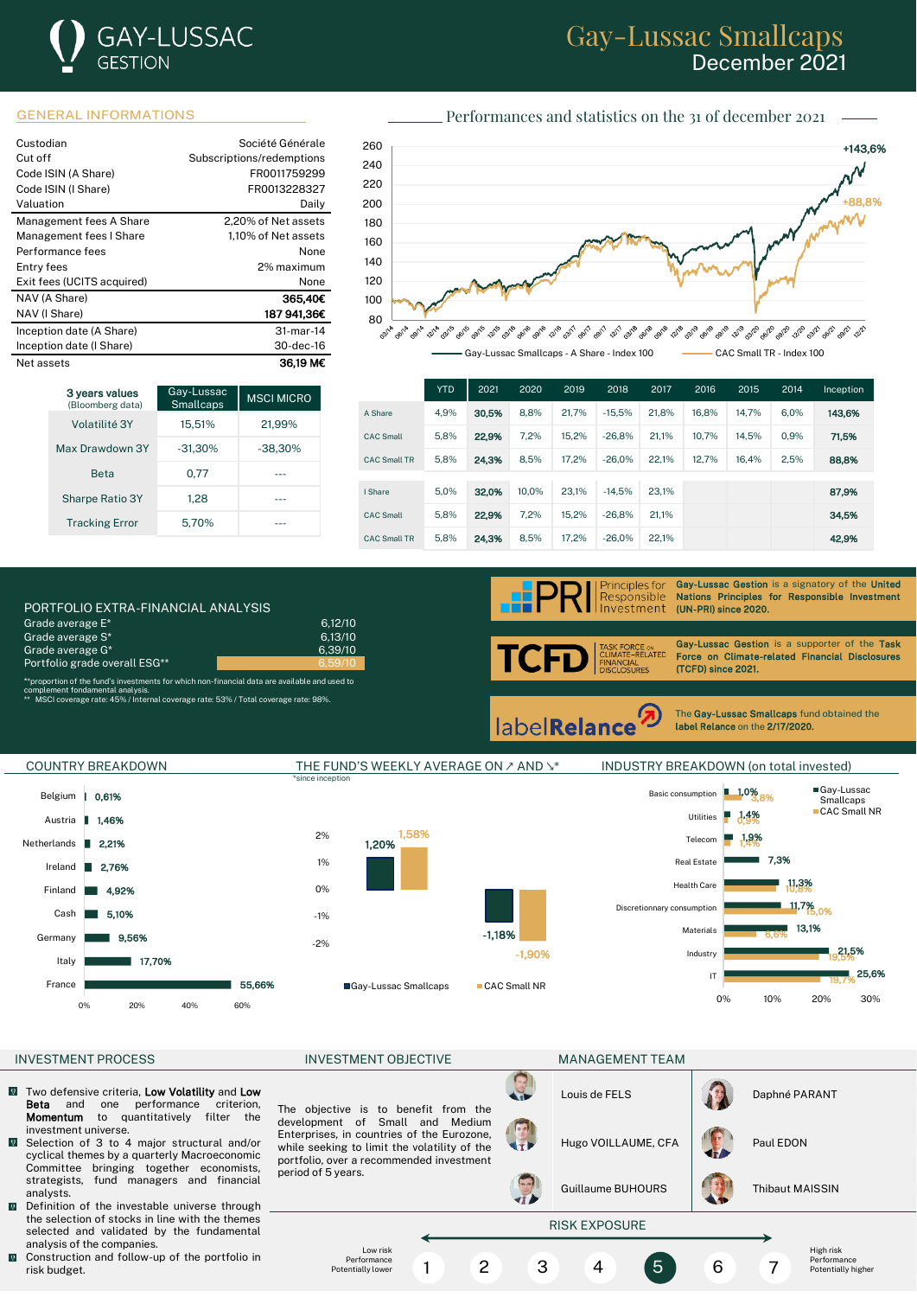# **GAY-LUSSAC GESTION**

## Gay-Lussac Smallcaps December 2021

#### GENERAL INFORMATIONS Performances and statistics on the 31 of december 2021

| Custodian                  | Société Générale          |
|----------------------------|---------------------------|
| Cut off                    | Subscriptions/redemptions |
| Code ISIN (A Share)        | FR0011759299              |
| Code ISIN (I Share)        | FR0013228327              |
| Valuation                  | Daily                     |
| Management fees A Share    | 2.20% of Net assets       |
| Management fees I Share    | 1.10% of Net assets       |
| Performance fees           | None                      |
| Entry fees                 | 2% maximum                |
| Exit fees (UCITS acquired) | None                      |
| NAV (A Share)              | 365.40€                   |
| NAV (I Share)              | 187 941.36€               |
| Inception date (A Share)   | 31-mar-14                 |
| Inception date (I Share)   | 30-dec-16                 |
| Net assets                 | 36.19 M€                  |





|                     | <b>YTD</b> | 2021  | 2020  | 2019  | 2018     | 2017  | 2016  | 2015  | 2014 | Inception |
|---------------------|------------|-------|-------|-------|----------|-------|-------|-------|------|-----------|
| A Share             | 4.9%       | 30.5% | 8.8%  | 21.7% | $-15.5%$ | 21.8% | 16.8% | 14.7% | 6.0% | 143,6%    |
| <b>CAC Small</b>    | 5.8%       | 22,9% | 7.2%  | 15.2% | $-26.8%$ | 21.1% | 10.7% | 14.5% | 0.9% | 71.5%     |
| <b>CAC Small TR</b> | 5.8%       | 24,3% | 8.5%  | 17.2% | $-26.0%$ | 22.1% | 12.7% | 16.4% | 2.5% | 88,8%     |
|                     |            |       |       |       |          |       |       |       |      |           |
| I Share             | 5.0%       | 32.0% | 10.0% | 23.1% | $-14.5%$ | 23.1% |       |       |      | 87,9%     |
| <b>CAC Small</b>    | 5.8%       | 22.9% | 7.2%  | 15.2% | $-26.8%$ | 21.1% |       |       |      | 34.5%     |
| <b>CAC Small TR</b> | 5.8%       | 24.3% | 8.5%  | 17.2% | $-26.0%$ | 22.1% |       |       |      | 42.9%     |

PORTFOLIO EXTRA-FINANCIAL ANALYSIS (UNI-PRI) since 2021 METHODIS (UNI-PRI) since 2020. The 2020 METHODIS (UN-Grade average  $E^*$  6,12/10<br>Grade average  $S^*$  6,13/10 Grade average S<sup>\*</sup> Grade average  $\bar{G}^*$  6,39/10 Portfolio grade overall ESG\*\*

\*\*proportion of the fund's investments for which non-financial data are available and used to

complement fondamental analysis. \*\* MSCI coverage rate: 45% / Internal coverage rate: 53% / Total coverage rate: 98%.



Gay-Lussac Gestion is a signatory of the United Nations Principles for Responsible Investment<br>(UN-PRI) since 2020.

RCE ⊙N<br>−RELATED TCI Ŧ ANCIAL<br>CLOSURES

Gay-Lussac Gestion is a supporter of the Task Force on Climate-related Financial Disclosures (TCFD) since 2021.

**labelRelance** 

The Gay-Lussac Smallcaps fund obtained the label Relance on the 2/17/2020.

l



- Two defensive criteria, **Low Volatility** and Low<br>**Beta** and one performance criterion.  $\overline{0}$ and one performance criterion, Momentum to quantitatively filter the investment universe.
- $\overline{0}$ Selection of 3 to 4 major structural and/or cyclical themes by a quarterly Macroeconomic Committee bringing together economists, strategists, fund managers and financial analysts.
- $\overline{\mathbf{Q}}$ Definition of the investable universe through the selection of stocks in line with the themes selected and validated by the fundamental analysis of the companies.
- $\blacksquare$  Construction and follow-up of the portfolio in risk budget.